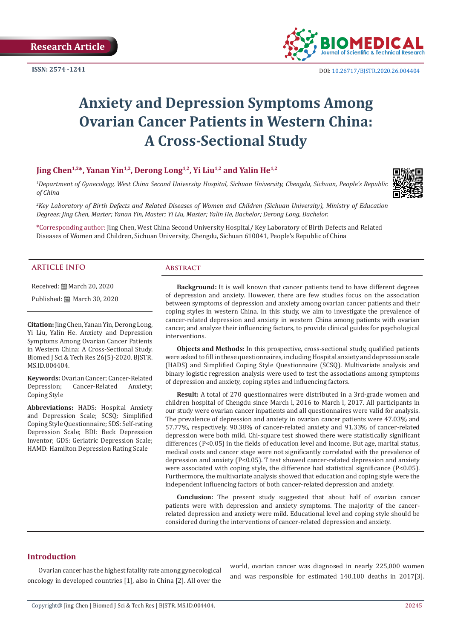

# **Anxiety and Depression Symptoms Among Ovarian Cancer Patients in Western China: A Cross-Sectional Study**

# **Jing Chen1,2\*, Yanan Yin1,2, Derong Long1,2, Yi Liu1,2 and Yalin He1,2**

*1 Department of Gynecology, West China Second University Hospital, Sichuan University, Chengdu, Sichuan, People's Republic of China*



*2 Key Laboratory of Birth Defects and Related Diseases of Women and Children (Sichuan University), Ministry of Education Degrees: Jing Chen, Master; Yanan Yin, Master; Yi Liu, Master; Yalin He, Bachelor; Derong Long, Bachelor.* 

\*Corresponding author: Jing Chen, West China Second University Hospital/ Key Laboratory of Birth Defects and Related Diseases of Women and Children, Sichuan University, Chengdu, Sichuan 610041, People's Republic of China

#### **ARTICLE INFO Abstract**

Received: March 20, 2020

Published: March 30, 2020

**Citation:** Jing Chen, Yanan Yin, Derong Long, Yi Liu, Yalin He. Anxiety and Depression Symptoms Among Ovarian Cancer Patients in Western China: A Cross-Sectional Study. Biomed J Sci & Tech Res 26(5)-2020. BJSTR. MS.ID.004404.

**Keywords:** Ovarian Cancer; Cancer-Related<br>Depression; Cancer-Related Anxiety; Cancer-Related Coping Style

**Abbreviations:** HADS: Hospital Anxiety and Depression Scale; SCSQ: Simplified Coping Style Questionnaire; SDS: Self-rating Depression Scale; BDI: Beck Depression Inventor; GDS: Geriatric Depression Scale; HAMD: Hamilton Depression Rating Scale

**Background:** It is well known that cancer patients tend to have different degrees of depression and anxiety. However, there are few studies focus on the association between symptoms of depression and anxiety among ovarian cancer patients and their coping styles in western China. In this study, we aim to investigate the prevalence of cancer-related depression and anxiety in western China among patients with ovarian cancer, and analyze their influencing factors, to provide clinical guides for psychological interventions.

**Objects and Methods:** In this prospective, cross-sectional study, qualified patients were asked to fill in these questionnaires, including Hospital anxiety and depression scale (HADS) and Simplified Coping Style Questionnaire (SCSQ). Multivariate analysis and binary logistic regression analysis were used to test the associations among symptoms of depression and anxiety, coping styles and influencing factors.

**Result:** A total of 270 questionnaires were distributed in a 3rd-grade women and children hospital of Chengdu since March l, 2016 to March l, 2017. All participants in our study were ovarian cancer inpatients and all questionnaires were valid for analysis. The prevalence of depression and anxiety in ovarian cancer patients were 47.03% and 57.77%, respectively. 90.38% of cancer-related anxiety and 91.33% of cancer-related depression were both mild. Chi-square test showed there were statistically significant differences (P<0.05) in the fields of education level and income. But age, marital status, medical costs and cancer stage were not significantly correlated with the prevalence of depression and anxiety (P<0.05). T test showed cancer-related depression and anxiety were associated with coping style, the difference had statistical significance (P<0.05). Furthermore, the multivariate analysis showed that education and coping style were the independent influencing factors of both cancer-related depression and anxiety.

**Conclusion:** The present study suggested that about half of ovarian cancer patients were with depression and anxiety symptoms. The majority of the cancerrelated depression and anxiety were mild. Educational level and coping style should be considered during the interventions of cancer-related depression and anxiety.

#### **Introduction**

Ovarian cancer has the highest fatality rate among gynecological oncology in developed countries [1], also in China [2]. All over the world, ovarian cancer was diagnosed in nearly 225,000 women and was responsible for estimated 140,100 deaths in 2017[3].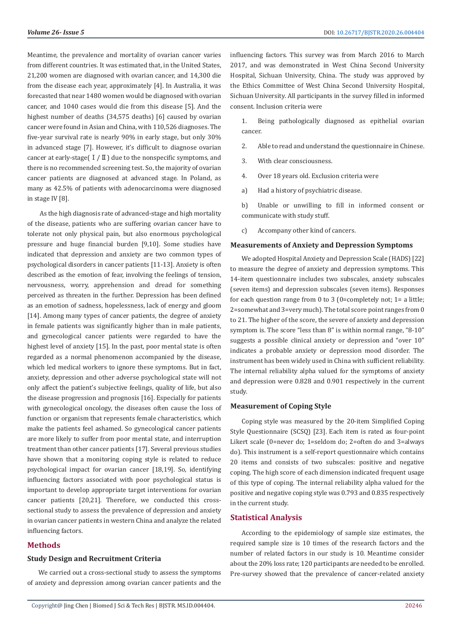Meantime, the prevalence and mortality of ovarian cancer varies from different countries. It was estimated that, in the United States, 21,200 women are diagnosed with ovarian cancer, and 14,300 die from the disease each year, approximately [4]. In Australia, it was forecasted that near 1480 women would be diagnosed with ovarian cancer, and 1040 cases would die from this disease [5]. And the highest number of deaths (34,575 deaths) [6] caused by ovarian cancer were found in Asian and China, with 110,526 diagnoses. The five-year survival rate is nearly 90% in early stage, but only 30% in advanced stage [7]. However, it's difficult to diagnose ovarian cancer at early-stage( $I / II$ ) due to the nonspecific symptoms, and there is no recommended screening test. So, the majority of ovarian cancer patients are diagnosed at advanced stage. In Poland, as many as 42.5% of patients with adenocarcinoma were diagnosed in stage IV [8].

 As the high diagnosis rate of advanced-stage and high mortality of the disease, patients who are suffering ovarian cancer have to tolerate not only physical pain, but also enormous psychological pressure and huge financial burden [9,10]. Some studies have indicated that depression and anxiety are two common types of psychological disorders in cancer patients [11-13]. Anxiety is often described as the emotion of fear, involving the feelings of tension, nervousness, worry, apprehension and dread for something perceived as threaten in the further. Depression has been defined as an emotion of sadness, hopelessness, lack of energy and gloom [14]. Among many types of cancer patients, the degree of anxiety in female patients was significantly higher than in male patients, and gynecological cancer patients were regarded to have the highest level of anxiety [15]. In the past, poor mental state is often regarded as a normal phenomenon accompanied by the disease, which led medical workers to ignore these symptoms. But in fact, anxiety, depression and other adverse psychological state will not only affect the patient's subjective feelings, quality of life, but also the disease progression and prognosis [16]. Especially for patients with gynecological oncology, the diseases often cause the loss of function or organism that represents female characteristics, which make the patients feel ashamed. So gynecological cancer patients are more likely to suffer from poor mental state, and interruption treatment than other cancer patients [17]. Several previous studies have shown that a monitoring coping style is related to reduce psychological impact for ovarian cancer [18,19]. So, identifying influencing factors associated with poor psychological status is important to develop appropriate target interventions for ovarian cancer patients [20,21]. Therefore, we conducted this crosssectional study to assess the prevalence of depression and anxiety in ovarian cancer patients in western China and analyze the related influencing factors.

# **Methods**

#### **Study Design and Recruitment Criteria**

We carried out a cross-sectional study to assess the symptoms of anxiety and depression among ovarian cancer patients and the influencing factors. This survey was from March 2016 to March 2017, and was demonstrated in West China Second University Hospital, Sichuan University, China. The study was approved by the Ethics Committee of West China Second University Hospital, Sichuan University. All participants in the survey filled in informed consent. Inclusion criteria were

1. Being pathologically diagnosed as epithelial ovarian cancer.

- 2. Able to read and understand the questionnaire in Chinese.
- 3. With clear consciousness.
- 4. Over 18 years old. Exclusion criteria were
- a) Had a history of psychiatric disease.

b) Unable or unwilling to fill in informed consent or communicate with study stuff.

c) Accompany other kind of cancers.

#### **Measurements of Anxiety and Depression Symptoms**

We adopted Hospital Anxiety and Depression Scale (HADS) [22] to measure the degree of anxiety and depression symptoms. This 14-item questionnaire includes two subscales, anxiety subscales (seven items) and depression subscales (seven items). Responses for each question range from 0 to 3 (0=completely not;  $1=$  a little; 2=somewhat and 3=very much). The total score point ranges from 0 to 21. The higher of the score, the severe of anxiety and depression symptom is. The score "less than 8" is within normal range, "8-10" suggests a possible clinical anxiety or depression and "over 10" indicates a probable anxiety or depression mood disorder. The instrument has been widely used in China with sufficient reliability. The internal reliability alpha valued for the symptoms of anxiety and depression were 0.828 and 0.901 respectively in the current study.

#### **Measurement of Coping Style**

Coping style was measured by the 20-item Simplified Coping Style Questionnaire (SCSQ) [23]. Each item is rated as four-point Likert scale (0=never do; 1=seldom do; 2=often do and 3=always do). This instrument is a self-report questionnaire which contains 20 items and consists of two subscales: positive and negative coping. The high score of each dimension indicated frequent usage of this type of coping. The internal reliability alpha valued for the positive and negative coping style was 0.793 and 0.835 respectively in the current study.

# **Statistical Analysis**

According to the epidemiology of sample size estimates, the required sample size is 10 times of the research factors and the number of related factors in our study is 10. Meantime consider about the 20% loss rate; 120 participants are needed to be enrolled. Pre-survey showed that the prevalence of cancer-related anxiety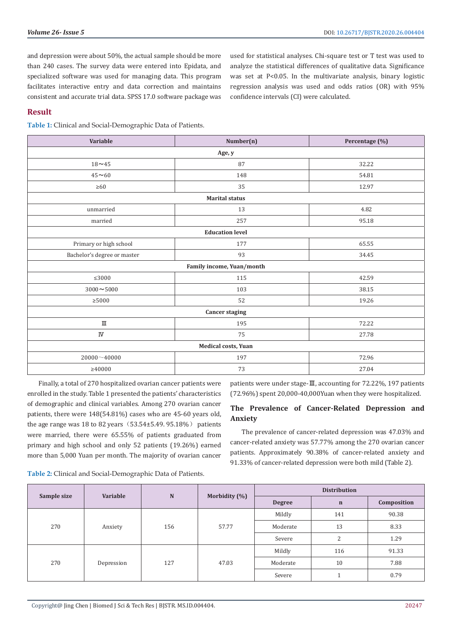and depression were about 50%, the actual sample should be more than 240 cases. The survey data were entered into Epidata, and specialized software was used for managing data. This program facilitates interactive entry and data correction and maintains consistent and accurate trial data. SPSS 17.0 software package was used for statistical analyses. Chi-square test or T test was used to analyze the statistical differences of qualitative data. Significance was set at P<0.05. In the multivariate analysis, binary logistic regression analysis was used and odds ratios (OR) with 95% confidence intervals (CI) were calculated.

# **Result**

**Table 1:** Clinical and Social-Demographic Data of Patients.

| Number(n)                 | Percentage (%) |  |  |  |  |  |  |
|---------------------------|----------------|--|--|--|--|--|--|
| Age, y                    |                |  |  |  |  |  |  |
| 87                        | 32.22          |  |  |  |  |  |  |
| 148                       | 54.81          |  |  |  |  |  |  |
| 35                        | 12.97          |  |  |  |  |  |  |
| <b>Marital status</b>     |                |  |  |  |  |  |  |
| 13                        | 4.82           |  |  |  |  |  |  |
| 257                       | 95.18          |  |  |  |  |  |  |
| <b>Education level</b>    |                |  |  |  |  |  |  |
| 177                       | 65.55          |  |  |  |  |  |  |
| 93                        | 34.45          |  |  |  |  |  |  |
| Family income, Yuan/month |                |  |  |  |  |  |  |
| 115                       | 42.59          |  |  |  |  |  |  |
| 103                       | 38.15          |  |  |  |  |  |  |
| 52                        | 19.26          |  |  |  |  |  |  |
| <b>Cancer staging</b>     |                |  |  |  |  |  |  |
| 195                       | 72.22          |  |  |  |  |  |  |
| 75                        | 27.78          |  |  |  |  |  |  |
| Medical costs, Yuan       |                |  |  |  |  |  |  |
| 197                       | 72.96          |  |  |  |  |  |  |
| 73                        | 27.04          |  |  |  |  |  |  |
|                           |                |  |  |  |  |  |  |

Finally, a total of 270 hospitalized ovarian cancer patients were enrolled in the study. Table 1 presented the patients' characteristics of demographic and clinical variables. Among 270 ovarian cancer patients, there were 148(54.81%) cases who are 45-60 years old, the age range was 18 to 82 years  $(53.54±5.49. 95.18%)$  patients were married, there were 65.55% of patients graduated from primary and high school and only 52 patients (19.26%) earned more than 5,000 Yuan per month. The majority of ovarian cancer

patients were under stage-Ⅲ, accounting for 72.22%, 197 patients (72.96%) spent 20,000-40,000Yuan when they were hospitalized.

# **The Prevalence of Cancer-Related Depression and Anxiety**

The prevalence of cancer-related depression was 47.03% and cancer-related anxiety was 57.77% among the 270 ovarian cancer patients. Approximately 90.38% of cancer-related anxiety and 91.33% of cancer-related depression were both mild (Table 2).

**Table 2:** Clinical and Social-Demographic Data of Patients.

|             | Variable   |           |                  |                | <b>Distribution</b> |             |       |
|-------------|------------|-----------|------------------|----------------|---------------------|-------------|-------|
| Sample size |            | ${\bf N}$ | Morbidity $(\%)$ | <b>Degree</b>  | $\mathbf n$         | Composition |       |
|             |            |           |                  |                | Mildly              | 141         | 90.38 |
| 270         | Anxiety    | 156       | 57.77            | 13<br>Moderate | 8.33                |             |       |
|             |            |           |                  | Severe         | $\overline{2}$      | 1.29        |       |
| 270         |            |           |                  | Mildly         | 116                 | 91.33       |       |
|             | Depression | 127       | 47.03            | Moderate       | 10                  | 7.88        |       |
|             |            |           |                  | Severe         |                     | 0.79        |       |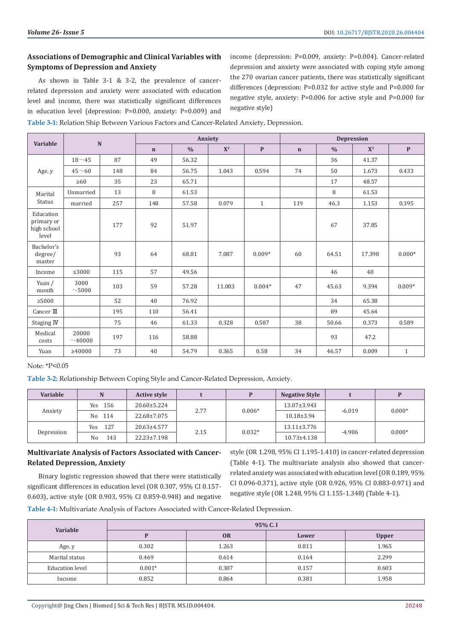# **Associations of Demographic and Clinical Variables with Symptoms of Depression and Anxiety**

As shown in Table 3-1 & 3-2, the prevalence of cancerrelated depression and anxiety were associated with education level and income, there was statistically significant differences in education level (depression: P=0.000, anxiety: P=0.009) and

income (depression: P=0.009, anxiety: P=0.004). Cancer-related depression and anxiety were associated with coping style among the 270 ovarian cancer patients, there was statistically significant differences (depression: P=0.032 for active style and P=0.000 for negative style, anxiety: P=0.006 for active style and P=0.000 for negative style)

**Table 3-1:** Relation Ship Between Various Factors and Cancer-Related Anxiety, Depression.

|                                                 | Variable<br>${\bf N}$ |     | Anxiety     |               |        | Depression   |             |               |        |              |
|-------------------------------------------------|-----------------------|-----|-------------|---------------|--------|--------------|-------------|---------------|--------|--------------|
|                                                 |                       |     | $\mathbf n$ | $\frac{0}{0}$ | $X^2$  | $\mathbf{P}$ | $\mathbf n$ | $\frac{0}{0}$ | $X^2$  | $\mathbf{P}$ |
|                                                 | $18 - 45$             | 87  | 49          | 56.32         |        |              |             | 36            | 41.37  |              |
| Age, y                                          | $45\sim 60$           | 148 | 84          | 56.75         | 1.043  | 0.594        | 74          | 50            | 1.673  | 0.433        |
|                                                 | $\geq 60$             | 35  | 23          | 65.71         |        |              |             | 17            | 48.57  |              |
| Marital                                         | Unmarried             | 13  | 8           | 61.53         |        |              |             | 8             | 61.53  |              |
| <b>Status</b>                                   | married               | 257 | 148         | 57.58         | 0.079  | $\mathbf{1}$ | 119         | 46.3          | 1.153  | 0.395        |
| Education<br>primary or<br>high school<br>level |                       | 177 | 92          | 51.97         |        |              |             | 67            | 37.85  |              |
| Bachelor's<br>degree/<br>master                 |                       | 93  | 64          | 68.81         | 7.087  | $0.009*$     | 60          | 64.51         | 17.398 | $0.000*$     |
| Income                                          | $\leq 3000$           | 115 | 57          | 49.56         |        |              |             | 46            | 40     |              |
| Yuan /<br>month                                 | 3000<br>$\sim$ 5000   | 103 | 59          | 57.28         | 11.003 | $0.004*$     | 47          | 45.63         | 9.394  | $0.009*$     |
| $\geq 5000$                                     |                       | 52  | 40          | 76.92         |        |              |             | 34            | 65.38  |              |
| Cancer $\rm I\!I\!I$                            |                       | 195 | 110         | 56.41         |        |              |             | 89            | 45.64  |              |
| Staging IV                                      |                       | 75  | 46          | 61.33         | 0.328  | 0.587        | 38          | 50.66         | 0.373  | 0.589        |
| Medical<br>costs                                | 20000<br>~10000       | 197 | 116         | 58.88         |        |              |             | 93            | 47.2   |              |
| Yuan                                            | >40000                | 73  | 40          | 54.79         | 0.365  | 0.58         | 34          | 46.57         | 0.009  | $\mathbf{1}$ |

Note: \*P<0.05

**Table 3-2:** Relationship Between Coping Style and Cancer-Related Depression, Anxiety.

| Variable   |            | <b>Active style</b> |      | D                | <b>Negative Style</b> |                   | D        |  |
|------------|------------|---------------------|------|------------------|-----------------------|-------------------|----------|--|
|            | Yes 156    | $20.60 \pm 5.224$   | 2.77 |                  |                       | $13.07 \pm 3.943$ |          |  |
| Anxiety    | No 114     | 22.68±7.075         |      | $0.006*$         | $10.18 \pm 3.94$      | $-6.019$          | $0.000*$ |  |
|            | 127<br>Yes | 20.63±4.577         |      | $0.032*$<br>2.15 | $13.11 \pm 3.776$     | $-4.906$          | $0.000*$ |  |
| Depression | 143<br>No  | $22.23 \pm 7.198$   |      |                  | $10.73 \pm 4.138$     |                   |          |  |

# **Multivariate Analysis of Factors Associated with Cancer-Related Depression, Anxiety**

Binary logistic regression showed that there were statistically significant differences in education level (OR 0.307, 95% CI 0.157- 0.603), active style (OR 0.903, 95% CI 0.859-0.948) and negative style (OR 1.298, 95% CI 1.195-1.410) in cancer-related depression (Table 4-1). The multivariate analysis also showed that cancerrelated anxiety was associated with education level (OR 0.189, 95% CI 0.096-0.371), active style (OR 0.926, 95% CI 0.883-0.971) and negative style (OR 1.248, 95% CI 1.155-1.348) (Table 4-1).

**Table 4-1:** Multivariate Analysis of Factors Associated with Cancer-Related Depression.

| Variable               | 95% C.I  |           |       |              |  |  |
|------------------------|----------|-----------|-------|--------------|--|--|
|                        |          | <b>OR</b> | Lower | <b>Upper</b> |  |  |
| Age, y                 | 0.302    | 1.263     | 0.811 | 1.965        |  |  |
| Marital status         | 0.469    | 0.614     | 0.164 | 2.299        |  |  |
| <b>Education</b> level | $0.001*$ | 0.307     | 0.157 | 0.603        |  |  |
| Income                 | 0.852    | 0.864     | 0.381 | 1.958        |  |  |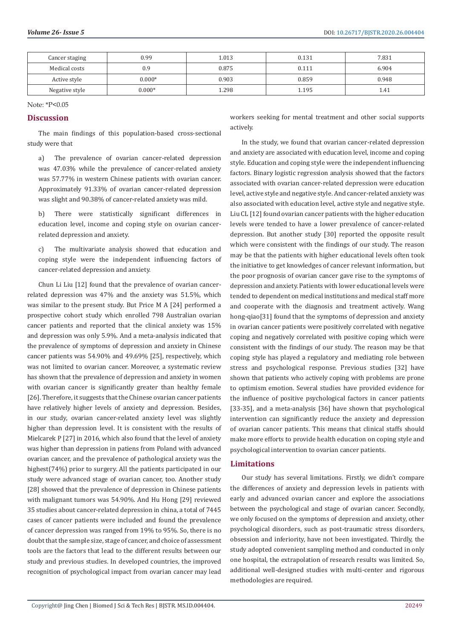| Cancer staging | 0.99     | .013  | 0.131 | 7.831 |
|----------------|----------|-------|-------|-------|
| Medical costs  | 0.9      | 0.875 | 0.111 | 6.904 |
| Active style   | $0.000*$ | 0.903 | 0.859 | 0.948 |
| Negative style | $0.000*$ | .298  | 1.195 |       |

Note: \*P<0.05

#### **Discussion**

The main findings of this population-based cross-sectional study were that

a) The prevalence of ovarian cancer-related depression was 47.03% while the prevalence of cancer-related anxiety was 57.77% in western Chinese patients with ovarian cancer. Approximately 91.33% of ovarian cancer-related depression was slight and 90.38% of cancer-related anxiety was mild.

b) There were statistically significant differences in education level, income and coping style on ovarian cancerrelated depression and anxiety.

c) The multivariate analysis showed that education and coping style were the independent influencing factors of cancer-related depression and anxiety.

Chun Li Liu [12] found that the prevalence of ovarian cancerrelated depression was 47% and the anxiety was 51.5%, which was similar to the present study. But Price M A [24] performed a prospective cohort study which enrolled 798 Australian ovarian cancer patients and reported that the clinical anxiety was 15% and depression was only 5.9%. And a meta-analysis indicated that the prevalence of symptoms of depression and anxiety in Chinese cancer patients was 54.90% and 49.69% [25], respectively, which was not limited to ovarian cancer. Moreover, a systematic review has shown that the prevalence of depression and anxiety in women with ovarian cancer is significantly greater than healthy female [26]. Therefore, it suggests that the Chinese ovarian cancer patients have relatively higher levels of anxiety and depression. Besides, in our study, ovarian cancer-related anxiety level was slightly higher than depression level. It is consistent with the results of Mielcarek P [27] in 2016, which also found that the level of anxiety was higher than depression in patiens from Poland with advanced ovarian cancer, and the prevalence of pathological anxiety was the highest(74%) prior to surgery. All the patients participated in our study were advanced stage of ovarian cancer, too. Another study [28] showed that the prevalence of depression in Chinese patients with malignant tumors was 54.90%. And Hu Hong [29] reviewed 35 studies about cancer-related depression in china, a total of 7445 cases of cancer patients were included and found the prevalence of cancer depression was ranged from 19% to 95%. So, there is no doubt that the sample size, stage of cancer, and choice of assessment tools are the factors that lead to the different results between our study and previous studies. In developed countries, the improved recognition of psychological impact from ovarian cancer may lead

workers seeking for mental treatment and other social supports actively.

In the study, we found that ovarian cancer-related depression and anxiety are associated with education level, income and coping style. Education and coping style were the independent influencing factors. Binary logistic regression analysis showed that the factors associated with ovarian cancer-related depression were education level, active style and negative style. And cancer-related anxiety was also associated with education level, active style and negative style. Liu CL [12] found ovarian cancer patients with the higher education levels were tended to have a lower prevalence of cancer-related depression. But another study [30] reported the opposite result which were consistent with the findings of our study. The reason may be that the patients with higher educational levels often took the initiative to get knowledges of cancer relevant information, but the poor prognosis of ovarian cancer gave rise to the symptoms of depression and anxiety. Patients with lower educational levels were tended to dependent on medical institutions and medical staff more and cooperate with the diagnosis and treatment actively. Wang hong-qiao[31] found that the symptoms of depression and anxiety in ovarian cancer patients were positively correlated with negative coping and negatively correlated with positive coping which were consistent with the findings of our study. The reason may be that coping style has played a regulatory and mediating role between stress and psychological response. Previous studies [32] have shown that patients who actively coping with problems are prone to optimism emotion. Several studies have provided evidence for the influence of positive psychological factors in cancer patients [33-35], and a meta-analysis [36] have shown that psychological intervention can significantly reduce the anxiety and depression of ovarian cancer patients. This means that clinical staffs should make more efforts to provide health education on coping style and psychological intervention to ovarian cancer patients.

# **Limitations**

Our study has several limitations. Firstly, we didn't compare the differences of anxiety and depression levels in patients with early and advanced ovarian cancer and explore the associations between the psychological and stage of ovarian cancer. Secondly, we only focused on the symptoms of depression and anxiety, other psychological disorders, such as post-traumatic stress disorders, obsession and inferiority, have not been investigated. Thirdly, the study adopted convenient sampling method and conducted in only one hospital, the extrapolation of research results was limited. So, additional well-designed studies with multi-center and rigorous methodologies are required.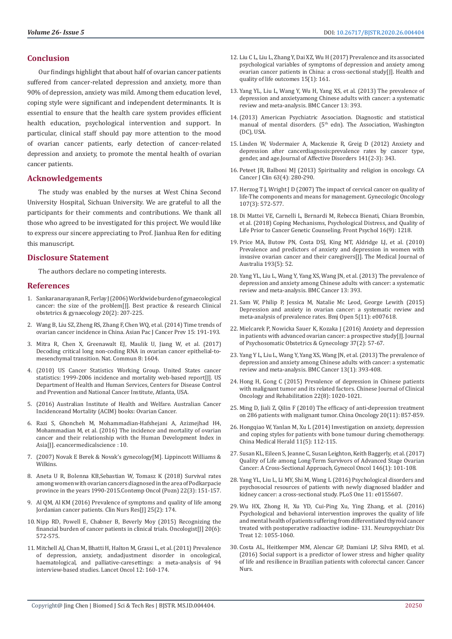# **Conclusion**

Our findings highlight that about half of ovarian cancer patients suffered from cancer-related depression and anxiety, more than 90% of depression, anxiety was mild. Among them education level, coping style were significant and independent determinants. It is essential to ensure that the health care system provides efficient health education, psychological intervention and support. In particular, clinical staff should pay more attention to the mood of ovarian cancer patients, early detection of cancer-related depression and anxiety, to promote the mental health of ovarian cancer patients.

#### **Acknowledgements**

The study was enabled by the nurses at West China Second University Hospital, Sichuan University. We are grateful to all the participants for their comments and contributions. We thank all those who agreed to be investigated for this project. We would like to express our sincere appreciating to Prof. Jianhua Ren for editing this manuscript.

#### **Disclosure Statement**

The authors declare no competing interests.

#### **References**

- 1. [Sankaranarayanan R, Ferlay J \(2006\) Worldwide burden of gynaecological](https://www.ncbi.nlm.nih.gov/pubmed/16359925)  [cancer: the size of the problem\[J\]. Best practice & research Clinical](https://www.ncbi.nlm.nih.gov/pubmed/16359925)  [obstetrics & gynaecology 20\(2\): 207-225.](https://www.ncbi.nlm.nih.gov/pubmed/16359925)
- 2. [Wang B, Liu SZ, Zheng RS, Zhang F, Chen WQ, et al. \(2014\) Time trends of](file:///F:/Journals/BJSTR.MS.ID.004404/BJSTR-PED-20-RA-159_W_SI/BJSTR-PED-20-RA-159_W_SI/ncbi.nlm.nih.gov/pubmed/24528025)  [ovarian cancer incidence in China. Asian Pac J Cancer Prev 15: 191-193.](file:///F:/Journals/BJSTR.MS.ID.004404/BJSTR-PED-20-RA-159_W_SI/BJSTR-PED-20-RA-159_W_SI/ncbi.nlm.nih.gov/pubmed/24528025)
- 3. [Mitra R, Chen X, Greenawalt EJ, Maulik U, Jiang W, et al. \(2017\)](https://www.ncbi.nlm.nih.gov/pubmed/29150601)  [Decoding critical long non-coding RNA in ovarian cancer epithelial-to](https://www.ncbi.nlm.nih.gov/pubmed/29150601)[mesenchymal transition. Nat. Commun 8: 1604.](https://www.ncbi.nlm.nih.gov/pubmed/29150601)
- 4. (2010) US Cancer Statistics Working Group. United States cancer statistics: 1999-2006 incidence and mortality web-based report[J]. US Department of Health and Human Services, Centers for Disease Control and Prevention and National Cancer Institute, Atlanta, USA.
- 5. [\(2016\) Australian Institute of Health and Welfare. Australian Cancer](https://ovarian-cancer.canceraustralia.gov.au/statistics.)  [Incidenceand Mortality \(ACIM\) books: Ovarian Cancer.](https://ovarian-cancer.canceraustralia.gov.au/statistics.)
- 6. [Razi S, Ghoncheh M, Mohammadian-Hafshejani A, Aziznejhad H4,](https://www.ncbi.nlm.nih.gov/pubmed/27110284)  [Mohammadian M, et al. \(2016\) The incidence and mortality of ovarian](https://www.ncbi.nlm.nih.gov/pubmed/27110284)  [cancer and their relationship with the Human Development Index in](https://www.ncbi.nlm.nih.gov/pubmed/27110284)  [Asia\[J\]. ecancermedicalscience : 10.](https://www.ncbi.nlm.nih.gov/pubmed/27110284)
- 7. (2007) Novak E Berek & Novak's gynecology[M]. Lippincott Williams & Wilkins.
- 8. [Aneta U R, Bolenna KB,Sebastian W, Tomasz K \(2018\) Survival rates](https://www.ncbi.nlm.nih.gov/pubmed/30455586)  [among women with ovarian cancers diagnosed in the area of Podkarpacie](https://www.ncbi.nlm.nih.gov/pubmed/30455586)  [province in the years 1990-2015.Contemp Oncol \(Pozn\) 22\(3\): 151-157.](https://www.ncbi.nlm.nih.gov/pubmed/30455586)
- 9. [Al QM, Al KM \(2016\) Prevalence of symptoms and quality of life among](https://www.ncbi.nlm.nih.gov/pubmed/25550305)  [Jordanian cancer patients. Clin Nurs Res\[J\] 25\(2\): 174.](https://www.ncbi.nlm.nih.gov/pubmed/25550305)
- 10. [Nipp RD, Powell E, Chabner B, Beverly Moy \(2015\) Recognizing the](https://www.ncbi.nlm.nih.gov/pmc/articles/PMC4571792/)  [financial burden of cancer patients in clinical trials. Oncologist\[J\] 20\(6\):](https://www.ncbi.nlm.nih.gov/pmc/articles/PMC4571792/)  [572-575.](https://www.ncbi.nlm.nih.gov/pmc/articles/PMC4571792/)
- 11. [Mitchell AJ, Chan M, Bhatti H, Halton M, Grassi L, et al. \(2011\) Prevalence](https://www.ncbi.nlm.nih.gov/pubmed/21251875)  [of depression, anxiety, andadjustment disorder in oncological,](https://www.ncbi.nlm.nih.gov/pubmed/21251875)  [haematological, and palliative-caresettings: a meta-analysis of 94](https://www.ncbi.nlm.nih.gov/pubmed/21251875)  [interview-based studies. Lancet Oncol 12: 160-174.](https://www.ncbi.nlm.nih.gov/pubmed/21251875)
- 12. [Liu C L, Liu L, Zhang Y, Dai XZ, Wu H \(2017\) Prevalence and its associated](https://www.ncbi.nlm.nih.gov/pubmed/28818112) [psychological variables of symptoms of depression and anxiety among](https://www.ncbi.nlm.nih.gov/pubmed/28818112) [ovarian cancer patients in China: a cross-sectional study\[J\]. Health and](https://www.ncbi.nlm.nih.gov/pubmed/28818112) [quality of life outcomes 15\(1\): 161.](https://www.ncbi.nlm.nih.gov/pubmed/28818112)
- 13. [Yang YL, Liu L, Wang Y, Wu H, Yang XS, et al. \(2013\) The prevalence of](https://www.ncbi.nlm.nih.gov/pubmed/23967823) [depression and anxietyamong Chinese adults with cancer: a systematic](https://www.ncbi.nlm.nih.gov/pubmed/23967823) [review and meta-analysis. BMC Cancer 13: 393.](https://www.ncbi.nlm.nih.gov/pubmed/23967823)
- 14.(2013) American Psychiatric Association. Diagnostic and statistical manual of mental disorders. (5<sup>th</sup> edn). The Association, Washington (DC), USA.
- 15. [Linden W, Vodermaier A, Mackenzie R, Greig D \(2012\) Anxiety and](https://www.ncbi.nlm.nih.gov/pubmed/22727334) [depression after cancerdiagnosis:prevalence rates by cancer type,](https://www.ncbi.nlm.nih.gov/pubmed/22727334) [gender, and age.Journal of Affective Disorders 141\(2-3\): 343.](https://www.ncbi.nlm.nih.gov/pubmed/22727334)
- 16. [Peteet JR, Balboni MJ \(2013\) Spirituality and religion in oncology. CA](https://www.ncbi.nlm.nih.gov/pubmed/23625473) [Cancer J Clin 63\(4\): 280-290.](https://www.ncbi.nlm.nih.gov/pubmed/23625473)
- 17. [Herzog T J, Wright J D \(2007\) The impact of cervical cancer on quality of](https://www.ncbi.nlm.nih.gov/pubmed/17963826) [life-The components and means for management. Gynecologic Oncology](https://www.ncbi.nlm.nih.gov/pubmed/17963826) [107\(3\): 572-577.](https://www.ncbi.nlm.nih.gov/pubmed/17963826)
- 18. [Di Mattei VE, Carnelli L, Bernardi M, Rebecca Bienati, Chiara Brombin,](https://www.ncbi.nlm.nih.gov/pmc/articles/PMC6055025/) [et al. \(2018\) Coping Mechanisms, Psychological Distress, and Quality of](https://www.ncbi.nlm.nih.gov/pmc/articles/PMC6055025/) [Life Prior to Cancer Genetic Counseling. Front Psychol 16\(9\): 1218.](https://www.ncbi.nlm.nih.gov/pmc/articles/PMC6055025/)
- 19. [Price MA, Butow PN, Costa DSJ, King MT, Aldridge LJ, et al. \(2010\)](https://www.ncbi.nlm.nih.gov/pubmed/21542447) [Prevalence and predictors of anxiety and depression in women with](https://www.ncbi.nlm.nih.gov/pubmed/21542447) [invasive ovarian cancer and their caregivers\[J\]. The Medical Journal of](https://www.ncbi.nlm.nih.gov/pubmed/21542447) [Australia 193\(5\): 52.](https://www.ncbi.nlm.nih.gov/pubmed/21542447)
- 20. [Yang YL, Liu L, Wang Y, Yang XS, Wang JN, et al. \(2013\) The prevalence of](https://www.ncbi.nlm.nih.gov/pubmed/23967823) [depression and anxiety among Chinese adults with cancer: a systematic](https://www.ncbi.nlm.nih.gov/pubmed/23967823) [review and meta-analysis. BMC Cancer 13: 393.](https://www.ncbi.nlm.nih.gov/pubmed/23967823)
- 21. [Sam W, Philip P, Jessica M, Natalie Mc Leod, George Lewith \(2015\)](https://www.ncbi.nlm.nih.gov/pmc/articles/PMC4679843/) [Depression and anxiety in ovarian cancer: a systematic review and](https://www.ncbi.nlm.nih.gov/pmc/articles/PMC4679843/) [meta-analysis of prevalence rates. Bmj Open 5\(11\): e007618.](https://www.ncbi.nlm.nih.gov/pmc/articles/PMC4679843/)
- 22. [Mielcarek P, Nowicka Sauer K, Kozaka J \(2016\) Anxiety and depression](https://www.ncbi.nlm.nih.gov/pubmed/26939616) [in patients with advanced ovarian cancer: a prospective study\[J\]. Journal](https://www.ncbi.nlm.nih.gov/pubmed/26939616) [of Psychosomatic Obstetrics & Gynecology 37\(2\): 57-67.](https://www.ncbi.nlm.nih.gov/pubmed/26939616)
- 23. [Yang Y L, Liu L, Wang Y, Yang XS, Wang JN, et al. \(2013\) The prevalence of](https://www.ncbi.nlm.nih.gov/pubmed/23967823) [depression and anxiety among Chinese adults with cancer: a systematic](https://www.ncbi.nlm.nih.gov/pubmed/23967823) [review and meta-analysis. BMC Cancer 13\(1\): 393-408.](https://www.ncbi.nlm.nih.gov/pubmed/23967823)
- 24. Hong H, Gong C (2015) Prevalence of depression in Chinese patients with malignant tumor and its related factors. Chinese Journal of Clinical Oncology and Rehabilitation 22(8): 1020-1021.
- 25. Ming D, Jiali Z, Qilin F (2010) The efficacy of anti-depression treatment on 286 patients with malignant tumor. China Oncology 20(11): 857-859.
- 26. Hongqiao W, Yanlan M, Xu L (2014) Investigation on anxiety, depression and coping styles for patients with bone tumour during chemotherapy. China Medical Herald 11(5): 112-115.
- 27. [Susan KL, Eileen S, Jeanne C, Susan Leighton, Keith Baggerly, et al. \(2017\)](https://www.ncbi.nlm.nih.gov/pmc/articles/PMC5618102/) [Quality of Life among Long-Term Survivors of Advanced Stage Ovarian](https://www.ncbi.nlm.nih.gov/pmc/articles/PMC5618102/) [Cancer: A Cross-Sectional Approach, Gynecol Oncol 146\(1\): 101-108.](https://www.ncbi.nlm.nih.gov/pmc/articles/PMC5618102/)
- 28. [Yang YL, Liu L, Li MY, Shi M, Wang L \(2016\) Psychological disorders and](https://www.ncbi.nlm.nih.gov/pubmed/27191964) [psychosocial resources of patients with newly diagnosed bladder and](https://www.ncbi.nlm.nih.gov/pubmed/27191964) [kidney cancer: a cross-sectional study. PLoS One 11: e0155607.](https://www.ncbi.nlm.nih.gov/pubmed/27191964)
- 29. [Wu HX, Zhong H, Xu YD, Cui-Ping Xu, Ying Zhang, et al. \(2016\)](https://www.ncbi.nlm.nih.gov/pmc/articles/PMC4859420/) [Psychological and behavioral intervention improves the quality of life](https://www.ncbi.nlm.nih.gov/pmc/articles/PMC4859420/) [and mental health of patients suffering from differentiated thyroid cancer](https://www.ncbi.nlm.nih.gov/pmc/articles/PMC4859420/) [treated with postoperative radioactive iodine- 131. Neuropsychiatr Dis](https://www.ncbi.nlm.nih.gov/pmc/articles/PMC4859420/) [Treat 12: 1055-1060.](https://www.ncbi.nlm.nih.gov/pmc/articles/PMC4859420/)
- 30. [Costa AL, Heitkemper MM, Alencar GP, Damiani LP, Silva RMD, et al.](https://www.ncbi.nlm.nih.gov/pubmed/27171810) [\(2016\) Social support is a predictor of lower stress and higher quality](https://www.ncbi.nlm.nih.gov/pubmed/27171810) [of life and resilience in Brazilian patients with colorectal cancer. Cancer](https://www.ncbi.nlm.nih.gov/pubmed/27171810) [Nurs.](https://www.ncbi.nlm.nih.gov/pubmed/27171810)